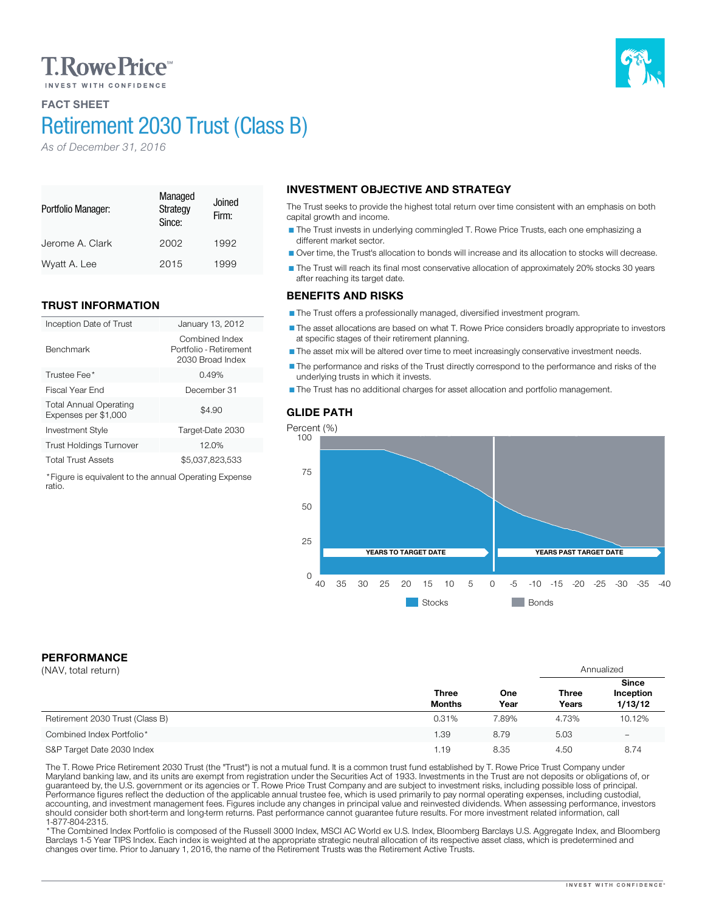# **T. Rowe Price**

## FACT SHEET

Portfolio Manager:

Benchmark

ratio.

# Retirement 2030 Trust (Class B)

Managed **Strategy** Since:

Jerome A. Clark 2002 1992 Wyatt A. Lee 2015 1999

Inception Date of Trust January 13, 2012

Investment Style Target-Date 2030 Trust Holdings Turnover 12.0% Total Trust Assets \$5,037,823,533 \*Figure is equivalent to the annual Operating Expense

Trustee Fee<sup>\*</sup> 2.49% 3.49% 3.49% 3.5 and 3.49% 3.5 and 3.49% 3.5 and 3.49% 3.5 and 3.49% 3.5 and 3.49% 3.5 and 3.49% 3.5 and 3.49% 3.49% 3.49% 3.49% 3.49% 3.49% 3.49% 3.49% 3.49% 3.49% 3.49% 3.49% 3.49% 3.49% 3.49% 3.49% 3 Fiscal Year End December 31

Firm:

Combined Index Portfolio - Retirement 2030 Broad Index

 $$4.90$ 

*As of December 31, 2016*

TRUST INFORMATION

Total Annual Operating Expenses per \$1,000

#### INVESTMENT OBJECTIVE AND STRATEGY Joined

The Trust seeks to provide the highest total return over time consistent with an emphasis on both capital growth and income.

The Trust invests in underlying commingled T. Rowe Price Trusts, each one emphasizing a different market sector.

Over time, the Trust's allocation to bonds will increase and its allocation to stocks will decrease.

The Trust will reach its final most conservative allocation of approximately 20% stocks 30 years after reaching its target date.

### BENEFITS AND RISKS

The Trust offers a professionally managed, diversified investment program.

The asset allocations are based on what T. Rowe Price considers broadly appropriate to investors at specific stages of their retirement planning.

The asset mix will be altered over time to meet increasingly conservative investment needs.

The performance and risks of the Trust directly correspond to the performance and risks of the underlying trusts in which it invests.

The Trust has no additional charges for asset allocation and portfolio management.

### GLIDE PATH



**Stocks** Bonds

## PERFORMANCE

| (NAV, total return)             |                               |             | Annualized            |                                      |
|---------------------------------|-------------------------------|-------------|-----------------------|--------------------------------------|
|                                 | <b>Three</b><br><b>Months</b> | One<br>Year | <b>Three</b><br>Years | <b>Since</b><br>Inception<br>1/13/12 |
| Retirement 2030 Trust (Class B) | 0.31%                         | 7.89%       | 4.73%                 | 10.12%                               |
| Combined Index Portfolio*       | 1.39                          | 8.79        | 5.03                  | $\overline{\phantom{m}}$             |
| S&P Target Date 2030 Index      | 1.19                          | 8.35        | 4.50                  | 8.74                                 |

The T. Rowe Price Retirement 2030 Trust (the "Trust") is not a mutual fund. It is a common trust fund established by T. Rowe Price Trust Company under<br>Maryland banking law, and its units are exempt from registration under should consider both short-term and long-term returns. Past performance cannot guarantee future results. For more investment related information, call<br>1-877-804-2315.

\* The Combined Index Portfolio is composed of the Russell 3000 Index, MSCI AC World ex U.S. Index, Bloomberg Barclays U.S. Aggregate Index, and Bloomberg Barclays 1-5 Year TIPS Index. Each index is weighted at the appropriate strategic neutral allocation of its respective asset class, which is predetermined and changes over time. Prior to January 1, 2016, the name of the Retirement Trusts was the Retirement Active Trusts.

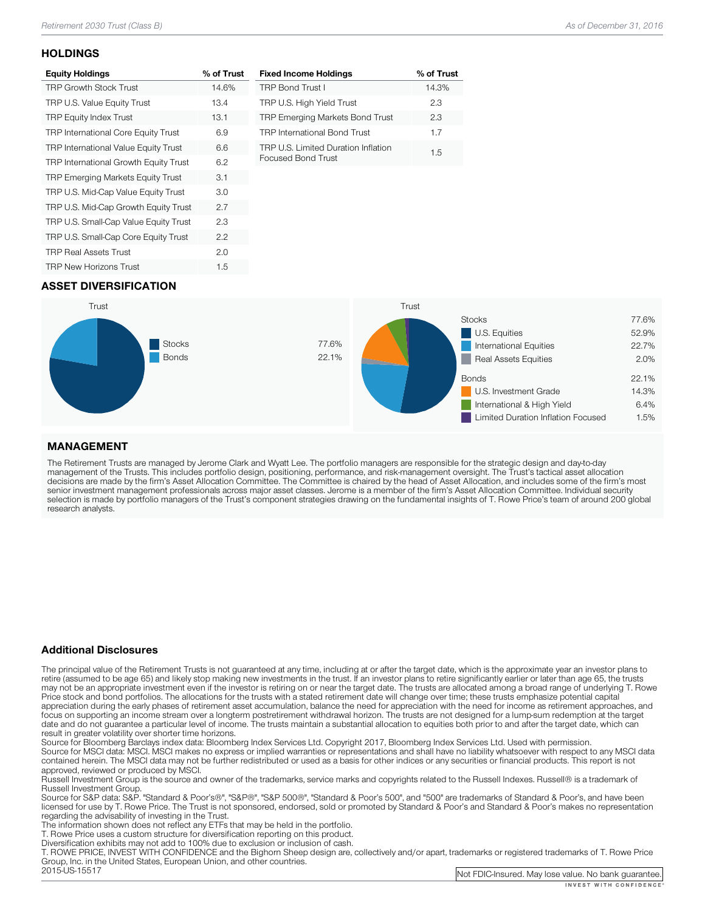## **HOLDINGS**

| <b>Equity Holdings</b>                     | % of Trust |
|--------------------------------------------|------------|
| <b>TRP Growth Stock Trust</b>              | 14.6%      |
| TRP U.S. Value Equity Trust                | 13.4       |
| <b>TRP Equity Index Trust</b>              | 13.1       |
| <b>TRP International Core Equity Trust</b> | 6.9        |
| TRP International Value Equity Trust       | 6.6        |
| TRP International Growth Equity Trust      | 6.2        |
| <b>TRP Emerging Markets Equity Trust</b>   | 3.1        |
| TRP U.S. Mid-Cap Value Equity Trust        | 3.0        |
| TRP U.S. Mid-Cap Growth Equity Trust       | 2.7        |
| TRP U.S. Small-Cap Value Equity Trust      | 2.3        |
| TRP U.S. Small-Cap Core Equity Trust       | 2.2        |
| <b>TRP Real Assets Trust</b>               | 2.0        |
| <b>TRP New Horizons Trust</b>              | 1.5        |

| <b>Fixed Income Holdings</b>                              | % of Trust |
|-----------------------------------------------------------|------------|
| <b>TRP Bond Trust I</b>                                   | 14.3%      |
| TRP U.S. High Yield Trust                                 | 23         |
| <b>TRP Emerging Markets Bond Trust</b>                    | 23         |
| <b>TRP International Bond Trust</b>                       | 1.7        |
| TRP U.S. Limited Duration Inflation<br>Focused Bond Trust | 1.5        |

## ASSET DIVERSIFICATION



### MANAGEMENT

The Retirement Trusts are managed by Jerome Clark and Wyatt Lee. The portfolio managers are responsible for the strategic design and day-to-day<br>management of the Trusts. This includes portfolio design, positioning, perform research analysts.

#### Additional Disclosures

The principal value of the Retirement Trusts is not guaranteed at any time, including at or after the target date, which is the approximate year an investor plans to retire (assumed to be age 65) and likely stop making new may not be an appropriate investment even if the investor is retiring on or near the target date. The trusts are allocated among a broad range of underlying T. Rowe<br>Price stock and bond portfolios. The allocations for the focus on supporting an income stream over a longterm postretirement withdrawal horizon. The trusts are not designed for a lump-sum redemption at the target date and do not guarantee a particular level of income. The trusts maintain a substantial allocation to equities both prior to and after the target date, which can result in greater volatility over shorter time horizons.

Source for Bloomberg Barclays index data: Bloomberg Index Services Ltd. Copyright 2017, Bloomberg Index Services Ltd. Used with permission.<br>Source for MSCI data: MSCI. MSCI makes no express or implied warranties or represe

approved, reviewed or produced by MSCI.<br>Russell Investment Group is the source and owner of the trademarks, service marks and copyrights related to the Russell Indexes. Russell® is a trademark of<br>Russell Investment Group.

Russell Investment Group. Source Group and Group", "Same Standard Group", "Standard Group", and "500" are trademarks of Standard & Poor's, and have been licensed for use by T. Rowe Price. The Trust is not sponsored, endorsed, sold or promoted by Standard & Poor's and Standard & Poor's makes no representation<br>regarding the advisability of investing in the Trust.

The information shown does not reflect any ETFs that may be held in the portfolio.<br>T. Rowe Price uses a custom structure for diversification reporting on this product.<br>Diversification exhibits may not add to 100% due to ex